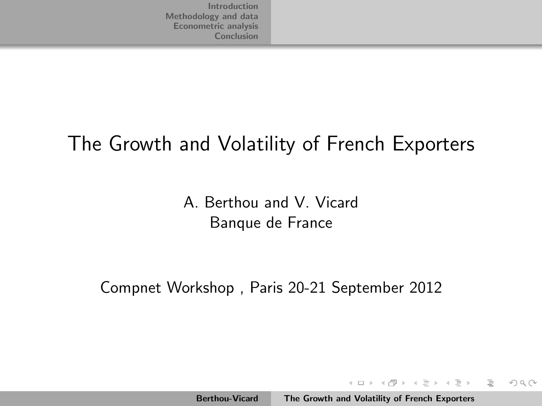#### The Growth and Volatility of French Exporters

A. Berthou and V. Vicard Banque de France

Compnet Workshop , Paris 20-21 September 2012

イロト イタト イチト イチト

<span id="page-0-0"></span> $\equiv$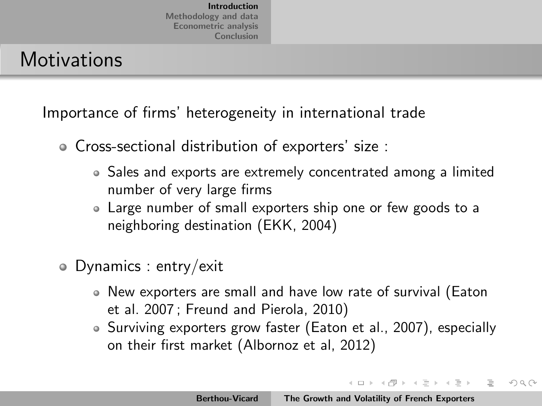#### **Motivations**

Importance of firms' heterogeneity in international trade

- Cross-sectional distribution of exporters' size :
	- Sales and exports are extremely concentrated among a limited number of very large firms
	- Large number of small exporters ship one or few goods to a neighboring destination (EKK, 2004)
- Dynamics : entry/exit
	- New exporters are small and have low rate of survival (Eaton et al. 2007 ; Freund and Pierola, 2010)
	- Surviving exporters grow faster (Eaton et al., 2007), especially on their first market (Albornoz et al, 2012)

<span id="page-1-0"></span>イロト イタト イチト イチト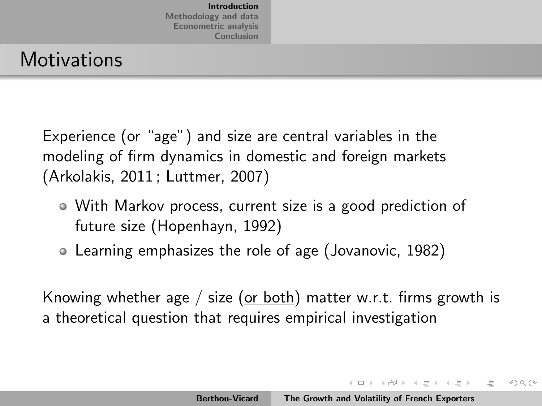#### **Motivations**

Experience (or "age") and size are central variables in the modeling of firm dynamics in domestic and foreign markets (Arkolakis, 2011 ; Luttmer, 2007)

- With Markov process, current size is a good prediction of future size (Hopenhayn, 1992)
- Learning emphasizes the role of age (Jovanovic, 1982)

Knowing whether age / size (or both) matter w.r.t. firms growth is a theoretical question that requires empirical investigation

イロト イタト イチト イチトー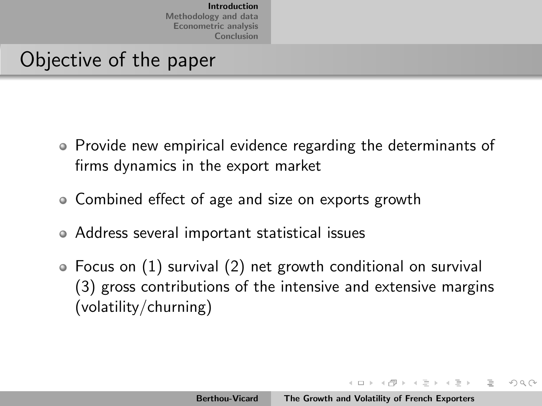#### Objective of the paper

- Provide new empirical evidence regarding the determinants of firms dynamics in the export market
- Combined effect of age and size on exports growth
- Address several important statistical issues
- Focus on (1) survival (2) net growth conditional on survival (3) gross contributions of the intensive and extensive margins (volatility/churning)

イロト イタト イチト イチト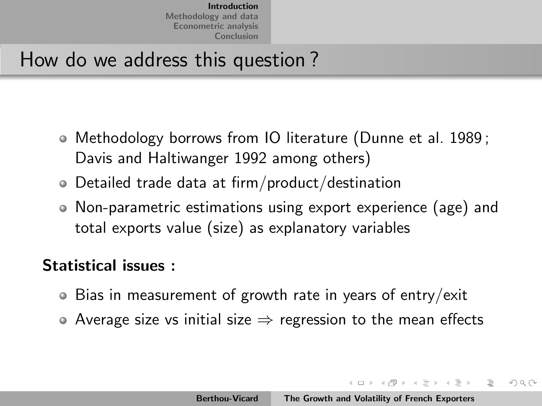#### How do we address this question ?

- Methodology borrows from IO literature (Dunne et al. 1989 ; Davis and Haltiwanger 1992 among others)
- Detailed trade data at firm/product/destination
- Non-parametric estimations using export experience (age) and total exports value (size) as explanatory variables

#### Statistical issues :

- Bias in measurement of growth rate in years of entry/exit
- $\bullet$  Average size vs initial size  $\Rightarrow$  regression to the mean effects

イロト イタト イチト イチト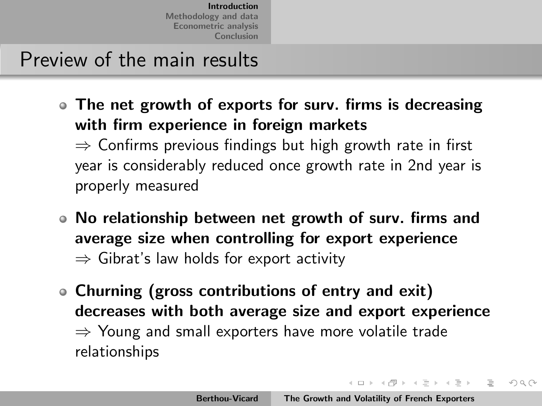Preview of the main results

The net growth of exports for surv. firms is decreasing with firm experience in foreign markets

 $\Rightarrow$  Confirms previous findings but high growth rate in first year is considerably reduced once growth rate in 2nd year is properly measured

- No relationship between net growth of surv. firms and average size when controlling for export experience  $\Rightarrow$  Gibrat's law holds for export activity
- Churning (gross contributions of entry and exit) decreases with both average size and export experience  $\Rightarrow$  Young and small exporters have more volatile trade relationships

イロト イタト イチト イチトー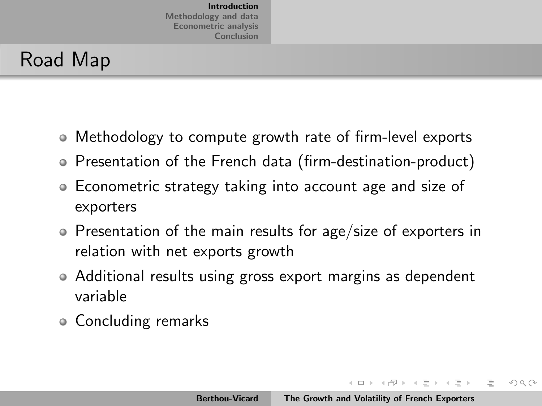#### Road Map

- Methodology to compute growth rate of firm-level exports
- Presentation of the French data (firm-destination-product)
- Econometric strategy taking into account age and size of exporters
- Presentation of the main results for age/size of exporters in relation with net exports growth
- Additional results using gross export margins as dependent variable
- Concluding remarks

イロト イ部 トイミト イヨト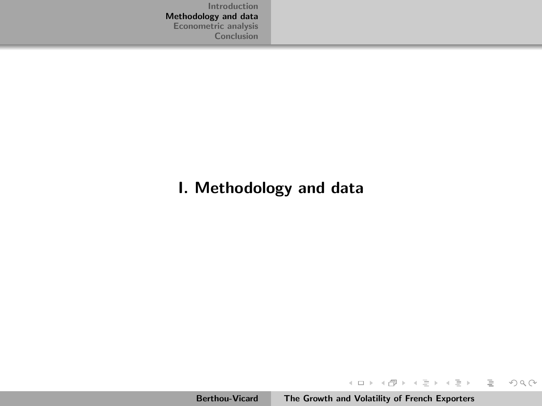#### I. Methodology and data

イロト イ団 トイモト イモト

<span id="page-7-0"></span> $\equiv$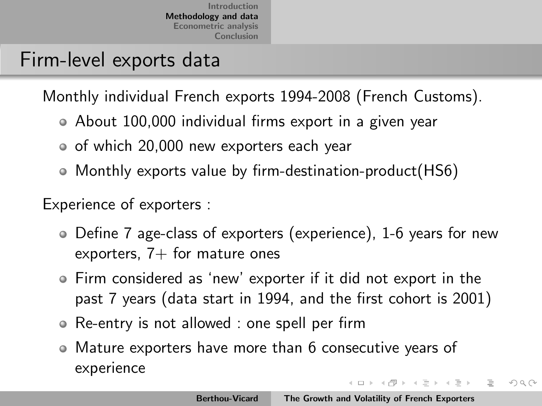#### Firm-level exports data

Monthly individual French exports 1994-2008 (French Customs).

- About 100,000 individual firms export in a given year
- o of which 20,000 new exporters each year
- Monthly exports value by firm-destination-product(HS6)

Experience of exporters :

- Define 7 age-class of exporters (experience), 1-6 years for new exporters,  $7+$  for mature ones
- Firm considered as 'new' exporter if it did not export in the past 7 years (data start in 1994, and the first cohort is 2001)
- Re-entry is not allowed : one spell per firm
- Mature exporters have more than 6 consecutive years of experience イロト イタト イチト イチト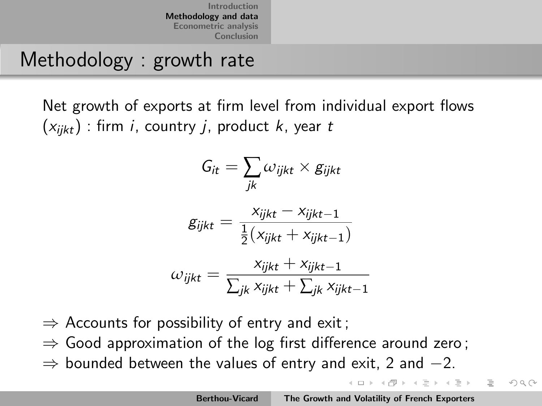#### Methodology : growth rate

Net growth of exports at firm level from individual export flows  $(x_{iikt})$ : firm *i*, country *j*, product *k*, year *t* 

$$
G_{it} = \sum_{jk} \omega_{ijkt} \times g_{ijkt}
$$

$$
g_{ijkt} = \frac{x_{ijkt} - x_{ijkt-1}}{\frac{1}{2}(x_{ijkt} + x_{ijkt-1})}
$$

$$
\omega_{ijkt} = \frac{x_{ijkt} + x_{ijkt-1}}{\sum_{jk} x_{ijkt} + \sum_{jk} x_{ijkt-1}}
$$

$$
\Rightarrow
$$
 **Accounds for possibility of entry and exit;**

- $\Rightarrow$  Good approximation of the log first difference around zero;
- $\Rightarrow$  bounded between the values of entry and exit, 2 and  $-2$ .

イロト イタト イチト イチトー

 $\equiv$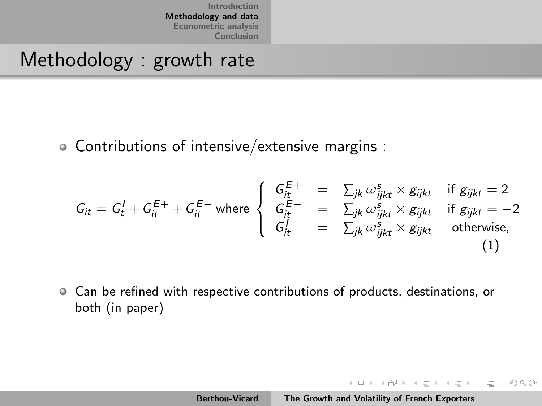#### Methodology : growth rate

Contributions of intensive/extensive margins :

$$
G_{it} = G_t^I + G_{it}^{E+} + G_{it}^{E-} \text{ where }\begin{cases} G_{it}^{E+} = \sum_{jk} \omega_{ijk}^s \times g_{ijkt} & \text{if } g_{ijkt} = 2 \\ G_{it}^{E-} = \sum_{jk} \omega_{ijk}^s \times g_{ijkt} & \text{if } g_{ijkt} = -2 \\ G_{it}^I = \sum_{jk} \omega_{ijk}^s \times g_{ijkt} & \text{otherwise,} \end{cases}
$$
(1)

Can be refined with respective contributions of products, destinations, or both (in paper)

イロト イ部 トイモト イモト

 $\equiv$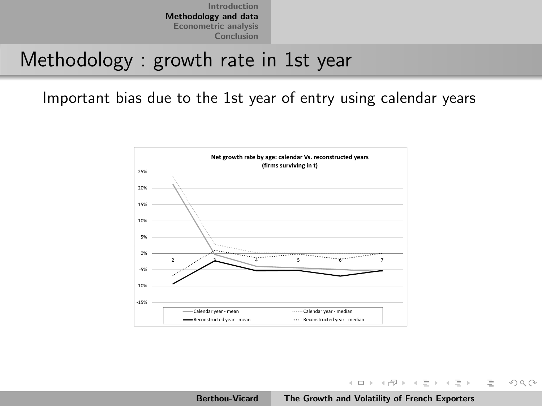#### Methodology : growth rate in 1st year

Important bias due to the 1st year of entry using calendar years



イロト イ部 トイミト イミトー

 $\equiv$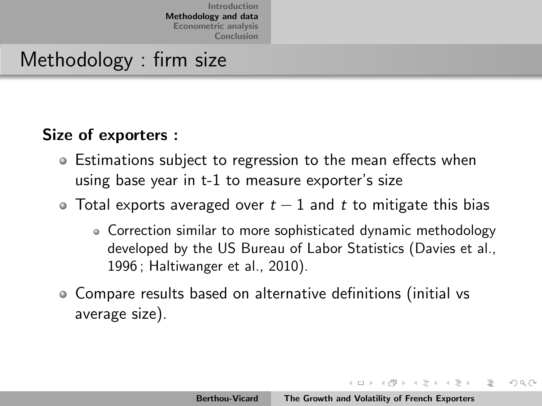#### Methodology : firm size

#### Size of exporters :

- Estimations subject to regression to the mean effects when using base year in t-1 to measure exporter's size
- $\bullet$  Total exports averaged over  $t-1$  and t to mitigate this bias
	- Correction similar to more sophisticated dynamic methodology developed by the US Bureau of Labor Statistics (Davies et al., 1996 ; Haltiwanger et al., 2010).
- Compare results based on alternative definitions (initial vs average size).

イロト イタト イチト イチトー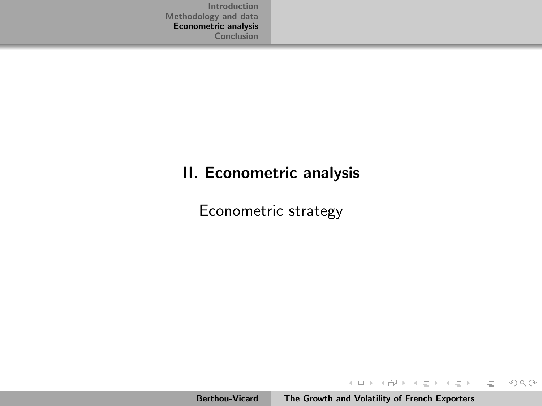#### II. Econometric analysis

Econometric strategy

イロン イ母ン イミン イミン

<span id="page-13-0"></span> $\equiv$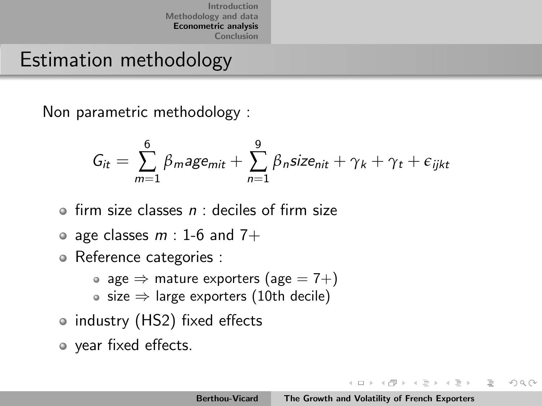#### Estimation methodology

Non parametric methodology :

$$
G_{it} = \sum_{m=1}^{6} \beta_m \text{age}_{mit} + \sum_{n=1}^{9} \beta_n \text{size}_{nit} + \gamma_k + \gamma_t + \epsilon_{ijkt}
$$

- $\bullet$  firm size classes  $n$  : deciles of firm size
- age classes  $m: 1$ -6 and 7+
- Reference categories :
	- age  $\Rightarrow$  mature exporters (age  $= 7 +$ )
	- size  $\Rightarrow$  large exporters (10th decile)
- industry (HS2) fixed effects
- year fixed effects.

イロト イタト イチト イチト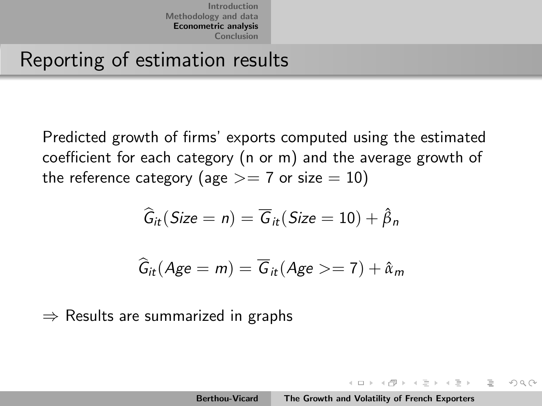Reporting of estimation results

Predicted growth of firms' exports computed using the estimated coefficient for each category (n or m) and the average growth of the reference category (age  $>= 7$  or size  $= 10$ )

$$
\widehat{G}_{it}(Size = n) = \overline{G}_{it}(Size = 10) + \widehat{\beta}_n
$$

$$
\widehat{G}_{it}(Age = m) = \overline{G}_{it}(Age >= 7) + \hat{\alpha}_m
$$

 $\Rightarrow$  Results are summarized in graphs

イロト イタト イチト イチト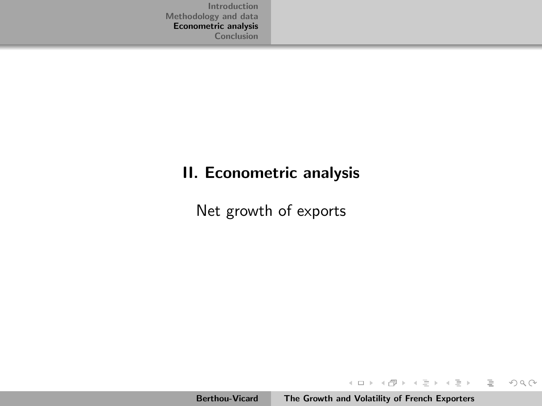#### II. Econometric analysis

Net growth of exports

イロト イ部 トイミト イミト

<span id="page-16-0"></span> $\equiv$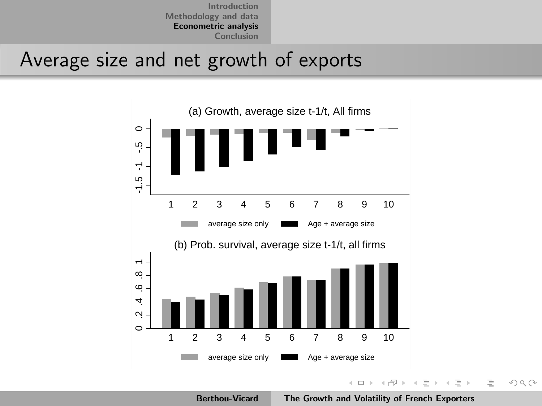#### Average size and net growth of exports



<span id="page-17-0"></span>Berthou-Vicard [The Growth and Volatility of French Exporters](#page-0-0)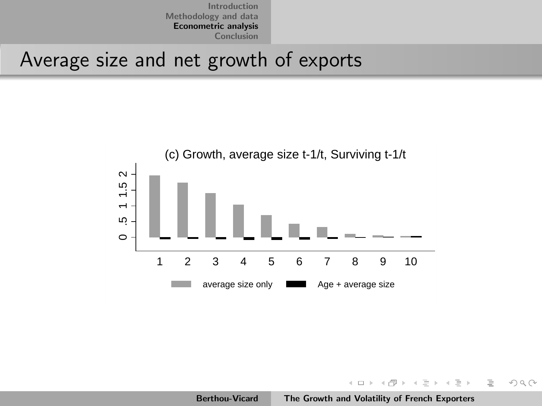Introduction [\(b\) Prob. survival, av](#page-1-0)erage size t-1/t, all firms  $\mathbb{R}^n$ [Methodology and data](#page-7-0) [Econometric analysis](#page-13-0) [Conclusion](#page-26-0)

### Average size and net growth of exports e<br>...



イロト イ母 トイモト イモト

<span id="page-18-0"></span> $OQ$ 

.2 .4 .6 .8 1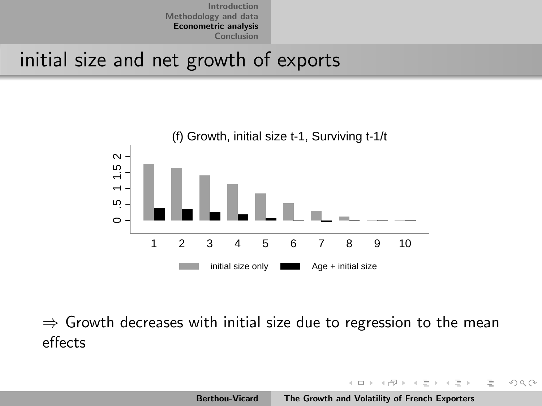## Introduction<br>
Methodology and data<br>
Econometric analysis<br>
Conclusion<br>
Conclusion<br>
Conclusion<br>
Conclusion initial size and net growth of exports

0



 $\Rightarrow$  Growth decreases with initial size due to regression to the mean effects

イロト マ母 トマチト マチト

 $\Omega \Omega$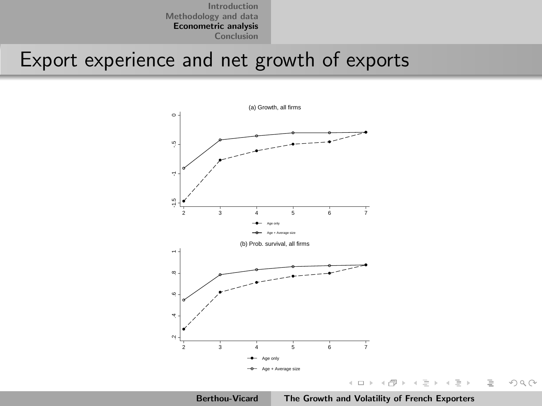#### Export experience and net growth of exports



Berthou-Vicard [The Growth and Volatility of French Exporters](#page-0-0)

 $\equiv$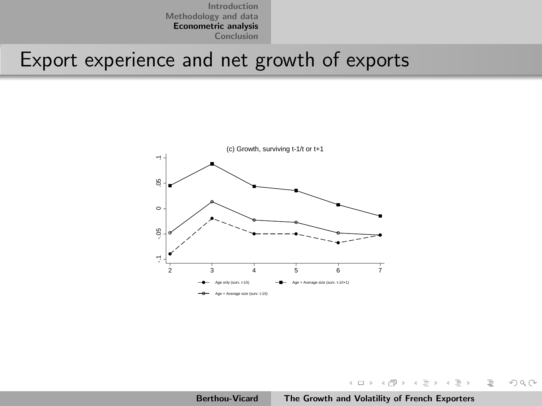# Introduction<br>
Econometric analysis<br>
Export experience and net growth of exports  $\frac{c}{2}$



イロト イ部 トイミト イヨト

 $\equiv$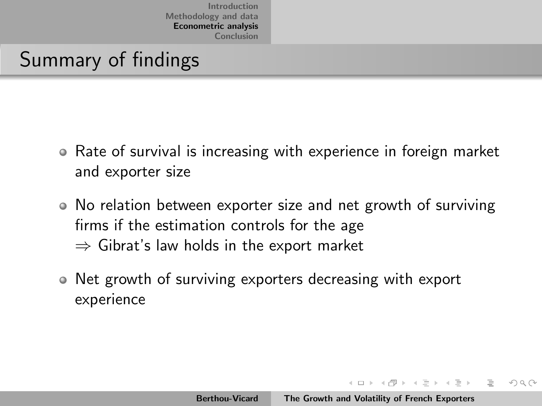#### Summary of findings

- Rate of survival is increasing with experience in foreign market and exporter size
- No relation between exporter size and net growth of surviving firms if the estimation controls for the age  $\Rightarrow$  Gibrat's law holds in the export market
- Net growth of surviving exporters decreasing with export  $\bullet$ experience

イロト イタト イチト イチト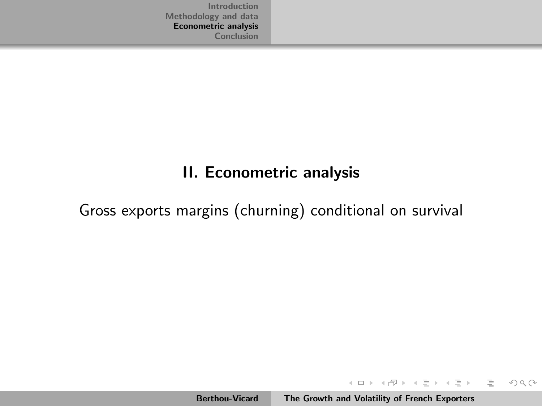#### II. Econometric analysis

Gross exports margins (churning) conditional on survival

Berthou-Vicard [The Growth and Volatility of French Exporters](#page-0-0)

イロト イ部 トイミト イヨト

 $\equiv$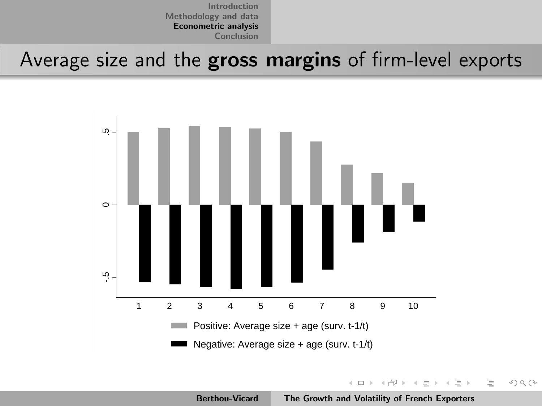Average size and the gross margins of firm-level exports



Berthou-Vicard [The Growth and Volatility of French Exporters](#page-0-0)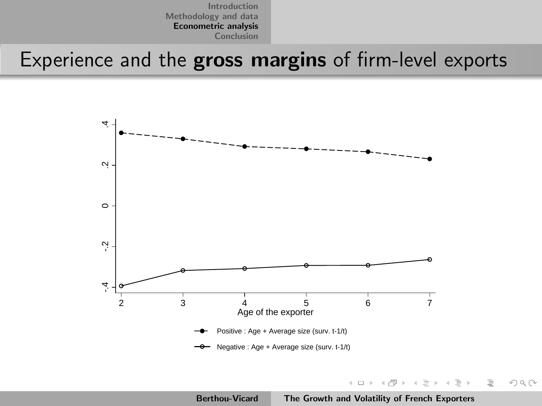Experience and the gross margins of firm-level exports



 $4.171 - 16$ 

 $\mathcal{A} \leftarrow \mathcal{A} \oplus \mathcal{A} \oplus \mathcal{A} \oplus \mathcal{A}$ 

<span id="page-25-0"></span> $\equiv$  +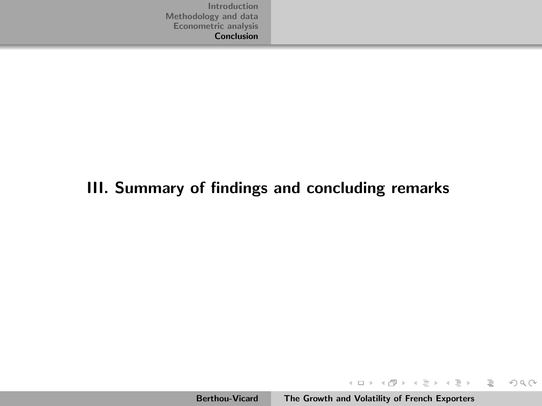#### III. Summary of findings and concluding remarks

イロト イ部 トイミト イミト

<span id="page-26-0"></span> $\equiv$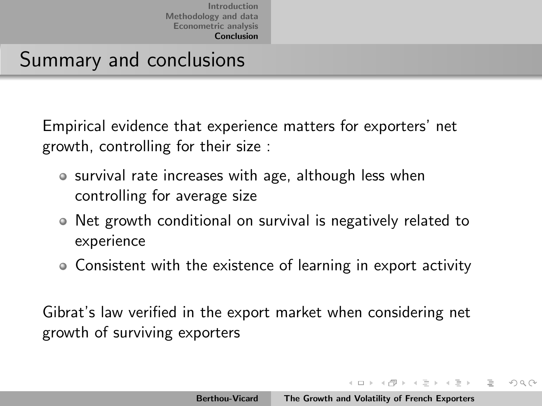#### Summary and conclusions

Empirical evidence that experience matters for exporters' net growth, controlling for their size :

- survival rate increases with age, although less when controlling for average size
- Net growth conditional on survival is negatively related to experience
- Consistent with the existence of learning in export activity

Gibrat's law verified in the export market when considering net growth of surviving exporters

イロト イタト イチト イチトー